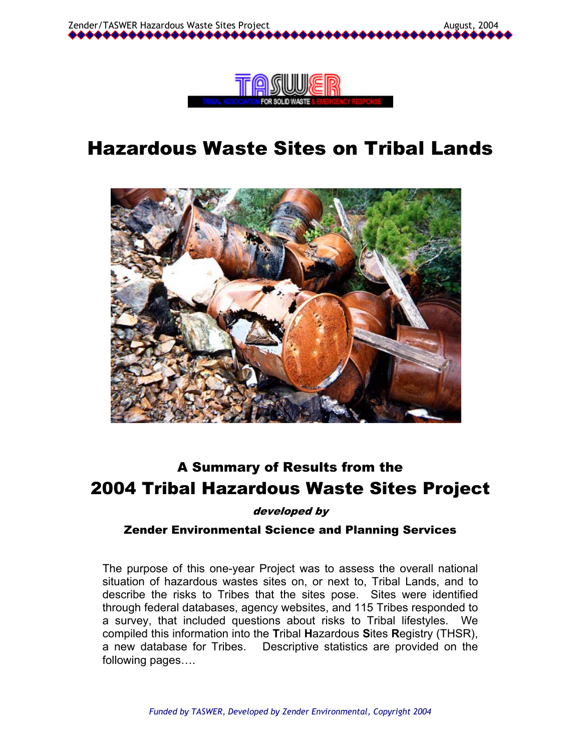



# Hazardous Waste Sites on Tribal Lands



## A Summary of Results from the 2004 Tribal Hazardous Waste Sites Project

developed by

#### Zender Environmental Science and Planning Services

The purpose of this one-year Project was to assess the overall national situation of hazardous wastes sites on, or next to, Tribal Lands, and to describe the risks to Tribes that the sites pose. Sites were identified through federal databases, agency websites, and 115 Tribes responded to a survey, that included questions about risks to Tribal lifestyles. We compiled this information into the **T**ribal **H**azardous **S**ites **R**egistry (THSR), a new database for Tribes. Descriptive statistics are provided on the following pages….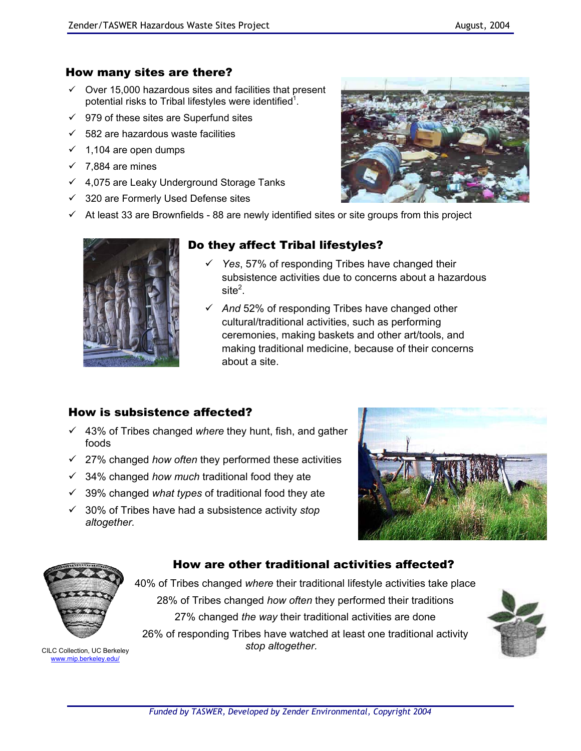## How many sites are there?

- $\checkmark$  Over 15,000 hazardous sites and facilities that present potential risks to Tribal lifestyles were identified<sup>1</sup>.
- $\checkmark$  979 of these sites are Superfund sites
- $\checkmark$  582 are hazardous waste facilities
- $\checkmark$  1,104 are open dumps
- $\checkmark$  7,884 are mines
- $4,075$  are Leaky Underground Storage Tanks
- $\checkmark$  320 are Formerly Used Defense sites
- $\checkmark$  At least 33 are Brownfields 88 are newly identified sites or site groups from this project



## Do they affect Tribal lifestyles?

- Yes, 57% of responding Tribes have changed their subsistence activities due to concerns about a hazardous site $^2$ .
- $\sqrt{}$  And 52% of responding Tribes have changed other cultural/traditional activities, such as performing ceremonies, making baskets and other art/tools, and making traditional medicine, because of their concerns about a site.

#### How is subsistence affected?

- $\checkmark$  43% of Tribes changed *where* they hunt, fish, and gather foods
- 9 27% changed *how often* they performed these activities
- 9 34% changed *how much* traditional food they ate
- $\checkmark$  39% changed *what types* of traditional food they ate
- 9 30% of Tribes have had a subsistence activity *stop altogether.*





www.mip.berkeley.edu/

40% of Tribes changed *where* their traditional lifestyle activities take place 28% of Tribes changed *how often* they performed their traditions 27% changed *the way* their traditional activities are done

How are other traditional activities affected?

26% of responding Tribes have watched at least one traditional activity *stop altogether.* CILC Collection, UC Berkeley

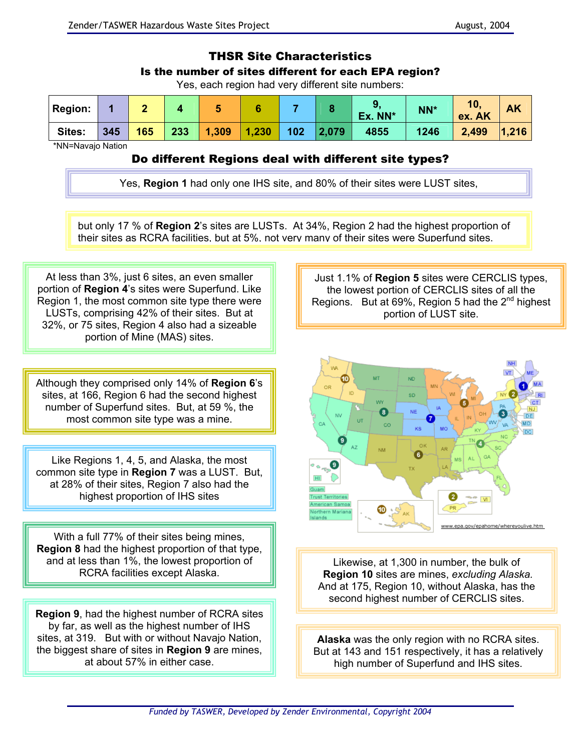#### THSR Site Characteristics

#### Is the number of sites different for each EPA region?

Yes, each region had very different site numbers:

| <b>Region:</b> |     |     |     |                 |     |                      | Ex. NN* | NN*  | 10.<br>ex. AK | <b>AK</b> |
|----------------|-----|-----|-----|-----------------|-----|----------------------|---------|------|---------------|-----------|
| Sites:         | 345 | 165 | 233 | $1,309$   1,230 | 102 | $\blacksquare$ 2,079 | 4855    | 1246 | 2,499         | 1,216     |

\*NN=Navajo Nation

#### Do different Regions deal with different site types?

Yes, **Region 1** had only one IHS site, and 80% of their sites were LUST sites,

but only 17 % of **Region 2**'s sites are LUSTs. At 34%, Region 2 had the highest proportion of their sites as RCRA facilities, but at 5%, not very many of their sites were Superfund sites.

At less than 3%, just 6 sites, an even smaller portion of **Region 4**'s sites were Superfund. Like Region 1, the most common site type there were LUSTs, comprising 42% of their sites. But at 32%, or 75 sites, Region 4 also had a sizeable portion of Mine (MAS) sites.

Although they comprised only 14% of **Region 6**'s sites, at 166, Region 6 had the second highest number of Superfund sites. But, at 59 %, the most common site type was a mine.

Like Regions 1, 4, 5, and Alaska, the most common site type in **Region 7** was a LUST. But, at 28% of their sites, Region 7 also had the highest proportion of IHS sites

With a full 77% of their sites being mines, **Region 8** had the highest proportion of that type, and at less than 1%, the lowest proportion of RCRA facilities except Alaska.

**Region 9**, had the highest number of RCRA sites by far, as well as the highest number of IHS sites, at 319. But with or without Navajo Nation, the biggest share of sites in **Region 9** are mines, at about 57% in either case.

Just 1.1% of **Region 5** sites were CERCLIS types, the lowest portion of CERCLIS sites of all the Regions. But at 69%, Region 5 had the 2<sup>nd</sup> highest portion of LUST site.



Likewise, at 1,300 in number, the bulk of **Region 10** sites are mines, *excluding Alaska.* And at 175, Region 10, without Alaska, has the second highest number of CERCLIS sites.

**Alaska** was the only region with no RCRA sites. But at 143 and 151 respectively, it has a relatively high number of Superfund and IHS sites.

*Funded by TASWER, Developed by Zender Environmental, Copyright 2004*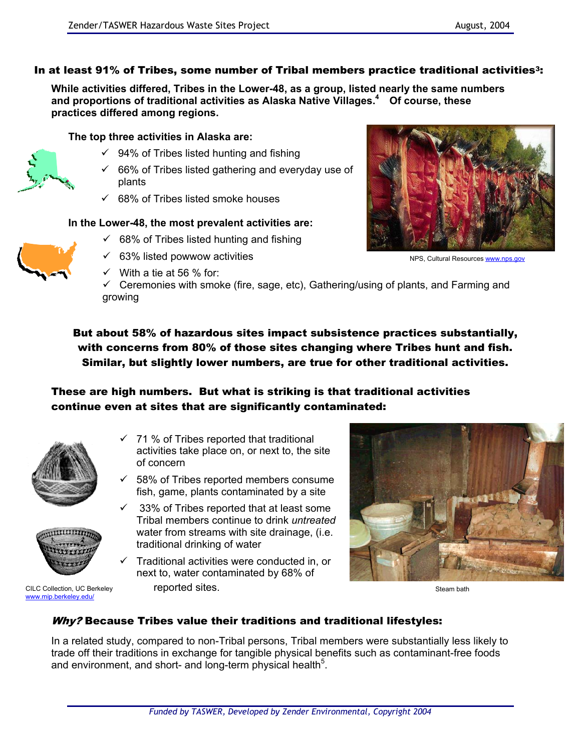## In at least 91% of Tribes, some number of Tribal members practice traditional activities<sup>3</sup>:

**While activities differed, Tribes in the Lower-48, as a group, listed nearly the same numbers and proportions of traditional activities as Alaska Native Villages.4 Of course, these practices differed among regions.**

**The top three activities in Alaska are:** 

- $\checkmark$  94% of Tribes listed hunting and fishing
- $\checkmark$  66% of Tribes listed gathering and everyday use of plants
- $\checkmark$  68% of Tribes listed smoke houses

#### **In the Lower-48, the most prevalent activities are:**

- $\checkmark$  68% of Tribes listed hunting and fishing
- $\checkmark$  63% listed powwow activities
- $\checkmark$  With a tie at 56 % for:
- $\checkmark$  Ceremonies with smoke (fire, sage, etc), Gathering/using of plants, and Farming and growing

But about 58% of hazardous sites impact subsistence practices substantially, with concerns from 80% of those sites changing where Tribes hunt and fish. Similar, but slightly lower numbers, are true for other traditional activities.

## These are high numbers. But what is striking is that traditional activities continue even at sites that are significantly contaminated:

- 71 % of Tribes reported that traditional activities take place on, or next to, the site of concern
- $\checkmark$  58% of Tribes reported members consume fish, game, plants contaminated by a site
- $\checkmark$  33% of Tribes reported that at least some Tribal members continue to drink *untreated* water from streams with site drainage, (i.e. traditional drinking of water
- $\checkmark$  Traditional activities were conducted in, or next to, water contaminated by 68% of reported sites.

## Why? Because Tribes value their traditions and traditional lifestyles:

In a related study, compared to non-Tribal persons, Tribal members were substantially less likely to trade off their traditions in exchange for tangible physical benefits such as contaminant-free foods and environment, and short- and long-term physical health<sup>5</sup>.











Steam bath



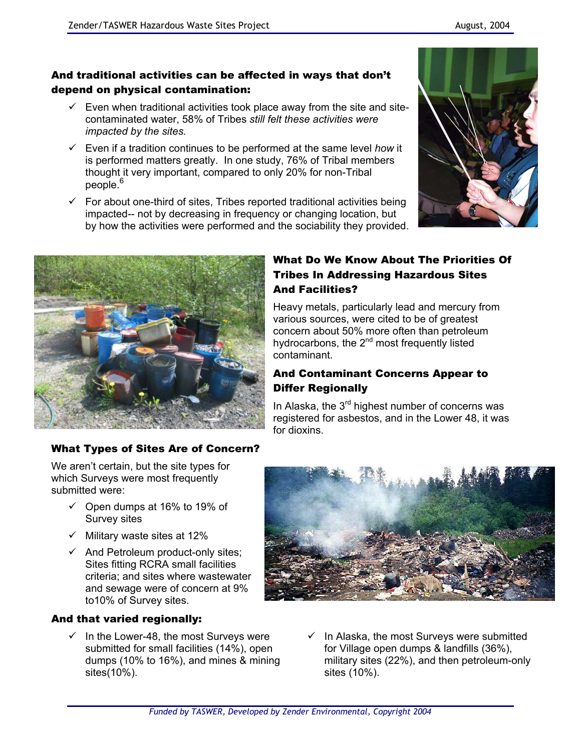## And traditional activities can be affected in ways that don't depend on physical contamination:

- $\checkmark$  Even when traditional activities took place away from the site and sitecontaminated water, 58% of Tribes *still felt these activities were impacted by the sites.*
- $\checkmark$  Even if a tradition continues to be performed at the same level *how* it is performed matters greatly. In one study, 76% of Tribal members thought it very important, compared to only 20% for non-Tribal people.<sup>6</sup>
- $\checkmark$  For about one-third of sites, Tribes reported traditional activities being impacted-- not by decreasing in frequency or changing location, but by how the activities were performed and the sociability they provided.





## What Do We Know About The Priorities Of Tribes In Addressing Hazardous Sites And Facilities?

Heavy metals, particularly lead and mercury from various sources, were cited to be of greatest concern about 50% more often than petroleum hydrocarbons, the 2<sup>nd</sup> most frequently listed contaminant.

## And Contaminant Concerns Appear to Differ Regionally

In Alaska, the  $3<sup>rd</sup>$  highest number of concerns was registered for asbestos, and in the Lower 48, it was for dioxins.

## What Types of Sites Are of Concern?

We aren't certain, but the site types for which Surveys were most frequently submitted were:

- $\checkmark$  Open dumps at 16% to 19% of Survey sites
- $\checkmark$  Military waste sites at 12%
- $\checkmark$  And Petroleum product-only sites; Sites fitting RCRA small facilities criteria; and sites where wastewater and sewage were of concern at 9% to10% of Survey sites.

## And that varied regionally:

 $\checkmark$  In the Lower-48, the most Surveys were submitted for small facilities (14%), open dumps (10% to 16%), and mines & mining sites(10%).



 $\checkmark$  In Alaska, the most Surveys were submitted for Village open dumps & landfills (36%), military sites (22%), and then petroleum-only sites (10%).